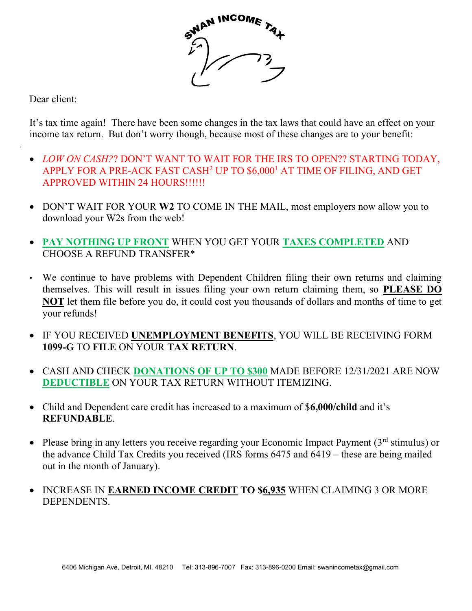

Dear client:

It's tax time again! There have been some changes in the tax laws that could have an effect on your income tax return. But don't worry though, because most of these changes are to your benefit:

- LOW ON CASH?? DON'T WANT TO WAIT FOR THE IRS TO OPEN?? STARTING TODAY, APPLY FOR A PRE-ACK FAST CASH<sup>2</sup> UP TO \$6,000<sup>1</sup> AT TIME OF FILING, AND GET APPROVED WITHIN 24 HOURS!!!!!!
- DON'T WAIT FOR YOUR W2 TO COME IN THE MAIL, most employers now allow you to download your W2s from the web!
- PAY NOTHING UP FRONT WHEN YOU GET YOUR TAXES COMPLETED AND CHOOSE A REFUND TRANSFER\*
- We continue to have problems with Dependent Children filing their own returns and claiming themselves. This will result in issues filing your own return claiming them, so PLEASE DO NOT let them file before you do, it could cost you thousands of dollars and months of time to get your refunds!
- IF YOU RECEIVED UNEMPLOYMENT BENEFITS, YOU WILL BE RECEIVING FORM 1099-G TO FILE ON YOUR TAX RETURN.
- CASH AND CHECK DONATIONS OF UP TO \$300 MADE BEFORE 12/31/2021 ARE NOW DEDUCTIBLE ON YOUR TAX RETURN WITHOUT ITEMIZING.
- Child and Dependent care credit has increased to a maximum of \$6,000/child and it's REFUNDABLE.
- Please bring in any letters you receive regarding your Economic Impact Payment  $(3<sup>rd</sup>$  stimulus) or the advance Child Tax Credits you received (IRS forms 6475 and 6419 – these are being mailed out in the month of January).
- INCREASE IN EARNED INCOME CREDIT TO \$6,935 WHEN CLAIMING 3 OR MORE DEPENDENTS.